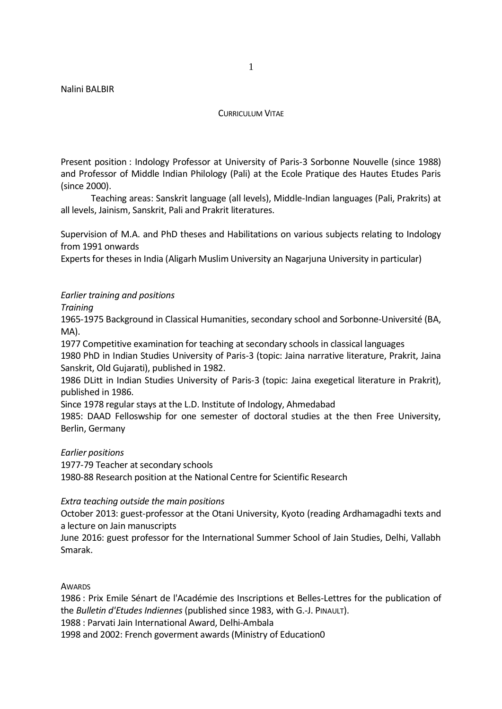## CURRICULUM VITAF

Present position : Indology Professor at University of Paris-3 Sorbonne Nouvelle (since 1988) and Professor of Middle Indian Philology (Pali) at the Ecole Pratique des Hautes Etudes Paris (since 2000).

Teaching areas: Sanskrit language (all levels), Middle-Indian languages (Pali, Prakrits) at all levels, Jainism, Sanskrit, Pali and Prakrit literatures.

Supervision of M.A. and PhD theses and Habilitations on various subjects relating to Indology from 1991 onwards

Experts for theses in India (Aligarh Muslim University an Nagarjuna University in particular)

## *Earlier training and positions*

*Training*

1965-1975 Background in Classical Humanities, secondary school and Sorbonne-Université (BA, MA).

1977 Competitive examination for teaching at secondary schools in classical languages

1980 PhD in Indian Studies University of Paris-3 (topic: Jaina narrative literature, Prakrit, Jaina Sanskrit, Old Gujarati), published in 1982.

1986 DLitt in Indian Studies University of Paris-3 (topic: Jaina exegetical literature in Prakrit), published in 1986.

Since 1978 regular stays at the L.D. Institute of Indology, Ahmedabad

1985: DAAD Felloswship for one semester of doctoral studies at the then Free University, Berlin, Germany

*Earlier positions*

1977-79 Teacher at secondary schools 1980-88 Research position at the National Centre for Scientific Research

*Extra teaching outside the main positions*

October 2013: guest-professor at the Otani University, Kyoto (reading Ardhamagadhi texts and a lecture on Jain manuscripts

June 2016: guest professor for the International Summer School of Jain Studies, Delhi, Vallabh Smarak.

**AWARDS** 

 : Prix Emile Sénart de l'Académie des Inscriptions et Belles-Lettres for the publication of the *Bulletin d'Etudes Indiennes* (published since 1983, with G.-J. PINAULT). : Parvati Jain International Award, Delhi-Ambala and 2002: French goverment awards (Ministry of Education0